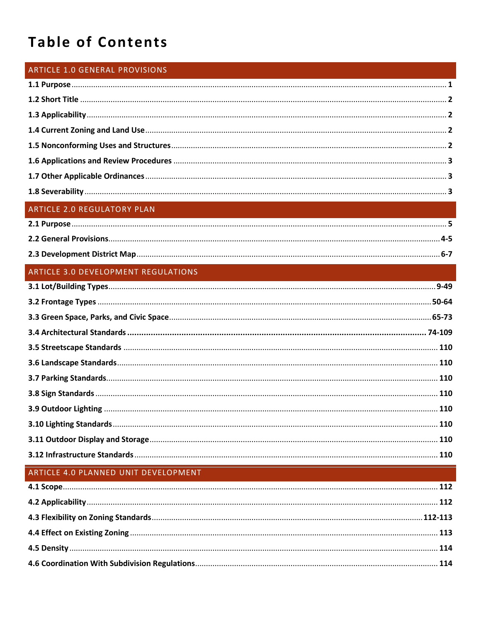# **Table of Contents**

#### ARTICLE 1.0 GENERAL PROVISIONS

### ARTICLE 2.0 REGULATORY PLAN

### ARTICLE 3.0 DEVELOPMENT REGULATIONS

## ARTICLE 4.0 PLANNED UNIT DEVELOPMENT